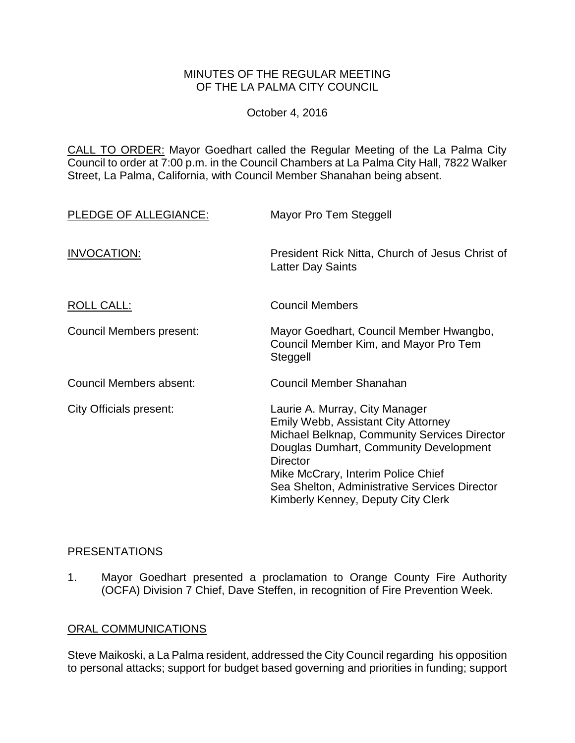## MINUTES OF THE REGULAR MEETING OF THE LA PALMA CITY COUNCIL

October 4, 2016

CALL TO ORDER: [Mayor Goedhart called the Regular Meeting of the La Palma City](http://lapalma.granicus.com/MediaPlayer.php?view_id=&clip_id=1036&meta_id=136475)  [Council to order at 7:00 p.m. in the Council Chambers at La Palma City Hall, 7822 Walker](http://lapalma.granicus.com/MediaPlayer.php?view_id=&clip_id=1036&meta_id=136475)  [Street, La Palma, California, with Council Member Shanahan being absent.](http://lapalma.granicus.com/MediaPlayer.php?view_id=&clip_id=1036&meta_id=136475)

| PLEDGE OF ALLEGIANCE:    | Mayor Pro Tem Steggell                                                                                                                                                                                                                                                                                          |  |  |
|--------------------------|-----------------------------------------------------------------------------------------------------------------------------------------------------------------------------------------------------------------------------------------------------------------------------------------------------------------|--|--|
| INVOCATION:              | President Rick Nitta, Church of Jesus Christ of<br><b>Latter Day Saints</b>                                                                                                                                                                                                                                     |  |  |
| <b>ROLL CALL:</b>        | <b>Council Members</b>                                                                                                                                                                                                                                                                                          |  |  |
| Council Members present: | Mayor Goedhart, Council Member Hwangbo,<br>Council Member Kim, and Mayor Pro Tem<br>Steggell                                                                                                                                                                                                                    |  |  |
| Council Members absent:  | Council Member Shanahan                                                                                                                                                                                                                                                                                         |  |  |
| City Officials present:  | Laurie A. Murray, City Manager<br>Emily Webb, Assistant City Attorney<br>Michael Belknap, Community Services Director<br>Douglas Dumhart, Community Development<br><b>Director</b><br>Mike McCrary, Interim Police Chief<br>Sea Shelton, Administrative Services Director<br>Kimberly Kenney, Deputy City Clerk |  |  |

## [PRESENTATIONS](http://lapalma.granicus.com/MediaPlayer.php?view_id=&clip_id=1036&meta_id=136479)

1. [Mayor Goedhart presented a proclamation to Orange County Fire Authority](http://lapalma.granicus.com/MediaPlayer.php?view_id=&clip_id=1036&meta_id=136480)  [\(OCFA\) Division 7 Chief, Dave Steffen, in recognition of Fire Prevention Week.](http://lapalma.granicus.com/MediaPlayer.php?view_id=&clip_id=1036&meta_id=136480)

## [ORAL COMMUNICATIONS](http://lapalma.granicus.com/MediaPlayer.php?view_id=&clip_id=1036&meta_id=136481)

Steve Maikoski, a La Palma resident, addressed the City Council regarding his opposition to personal attacks; support for budget based governing and priorities in funding; support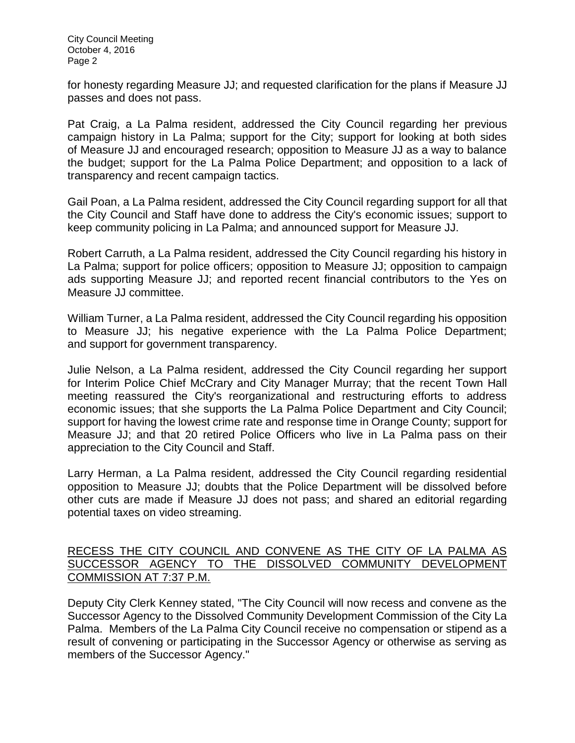City Council Meeting October 4, 2016 Page 2

for honesty regarding Measure JJ; and requested clarification for the plans if Measure JJ passes and does not pass.

Pat Craig, a La Palma resident, addressed the City Council regarding her previous campaign history in La Palma; support for the City; support for looking at both sides of Measure JJ and encouraged research; opposition to Measure JJ as a way to balance the budget; support for the La Palma Police Department; and opposition to a lack of transparency and recent campaign tactics.

Gail Poan, a La Palma resident, addressed the City Council regarding support for all that the City Council and Staff have done to address the City's economic issues; support to keep community policing in La Palma; and announced support for Measure JJ.

Robert Carruth, a La Palma resident, addressed the City Council regarding his history in La Palma; support for police officers; opposition to Measure JJ; opposition to campaign ads supporting Measure JJ; and reported recent financial contributors to the Yes on Measure JJ committee.

William Turner, a La Palma resident, addressed the City Council regarding his opposition to Measure JJ; his negative experience with the La Palma Police Department; and support for government transparency.

Julie Nelson, a La Palma resident, addressed the City Council regarding her support for Interim Police Chief McCrary and City Manager Murray; that the recent Town Hall meeting reassured the City's reorganizational and restructuring efforts to address economic issues; that she supports the La Palma Police Department and City Council; support for having the lowest crime rate and response time in Orange County; support for Measure JJ; and that 20 retired Police Officers who live in La Palma pass on their appreciation to the City Council and Staff.

Larry Herman, a La Palma resident, addressed the City Council regarding residential opposition to Measure JJ; doubts that the Police Department will be dissolved before other cuts are made if Measure JJ does not pass; and shared an editorial regarding potential taxes on video streaming.

## [RECESS THE CITY COUNCIL AND CONVENE AS THE CITY OF LA PALMA AS](http://lapalma.granicus.com/MediaPlayer.php?view_id=&clip_id=1036&meta_id=136489)  [SUCCESSOR AGENCY TO THE DISSOLVED COMMUNITY DEVELOPMENT](http://lapalma.granicus.com/MediaPlayer.php?view_id=&clip_id=1036&meta_id=136489)  [COMMISSION AT 7:37 P.M.](http://lapalma.granicus.com/MediaPlayer.php?view_id=&clip_id=1036&meta_id=136489)

Deputy City Clerk Kenney stated, "The City Council will now recess and convene as the Successor Agency to the Dissolved Community Development Commission of the City La Palma. Members of the La Palma City Council receive no compensation or stipend as a result of convening or participating in the Successor Agency or otherwise as serving as members of the Successor Agency."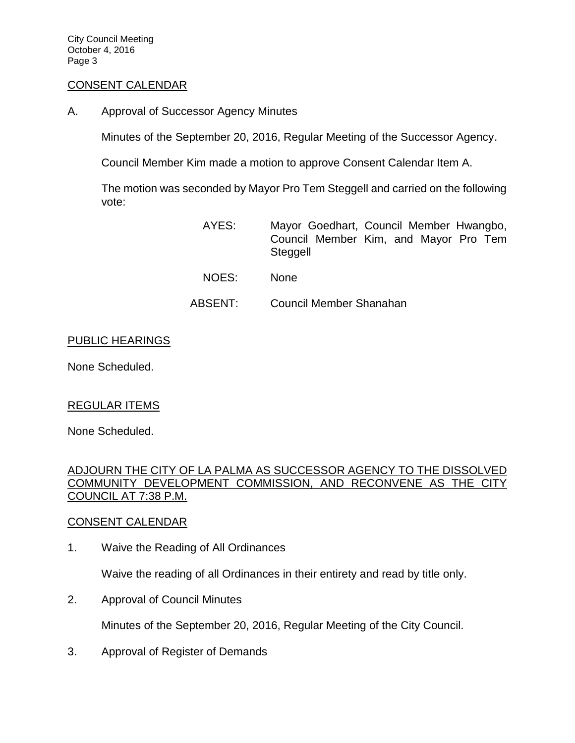City Council Meeting October 4, 2016 Page 3

#### [CONSENT CALENDAR](http://lapalma.granicus.com/MediaPlayer.php?view_id=&clip_id=1036&meta_id=136491)

A. Approval of Successor Agency Minutes

Minutes of the September 20, 2016, Regular Meeting of the Successor Agency.

Council Member Kim made a motion to approve Consent Calendar Item A.

The motion was seconded by Mayor Pro Tem Steggell and carried on the following vote:

- AYES: Mayor Goedhart, Council Member Hwangbo, Council Member Kim, and Mayor Pro Tem **Steggell**
- NOES: None
- ABSENT: Council Member Shanahan

#### PUBLIC HEARINGS

None Scheduled.

## REGULAR ITEMS

None Scheduled.

[ADJOURN THE CITY OF LA PALMA AS SUCCESSOR AGENCY TO THE DISSOLVED](http://lapalma.granicus.com/MediaPlayer.php?view_id=&clip_id=1036&meta_id=136498)  [COMMUNITY DEVELOPMENT COMMISSION, AND RECONVENE AS THE CITY](http://lapalma.granicus.com/MediaPlayer.php?view_id=&clip_id=1036&meta_id=136498)  [COUNCIL AT 7:38 P.M.](http://lapalma.granicus.com/MediaPlayer.php?view_id=&clip_id=1036&meta_id=136498)

## [CONSENT CALENDAR](http://lapalma.granicus.com/MediaPlayer.php?view_id=&clip_id=1036&meta_id=136499)

1. Waive the Reading of All Ordinances

Waive the reading of all Ordinances in their entirety and read by title only.

2. Approval of Council Minutes

Minutes of the September 20, 2016, Regular Meeting of the City Council.

3. Approval of Register of Demands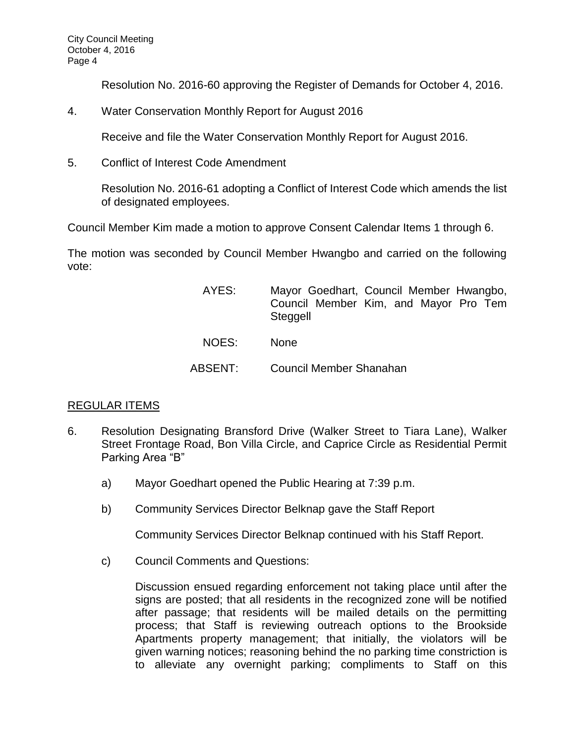Resolution No. 2016-60 approving the Register of Demands for October 4, 2016.

4. Water Conservation Monthly Report for August 2016

Receive and file the Water Conservation Monthly Report for August 2016.

5. Conflict of Interest Code Amendment

Resolution No. 2016-61 adopting a Conflict of Interest Code which amends the list of designated employees.

Council Member Kim made a motion to approve Consent Calendar Items 1 through 6.

The motion was seconded by Council Member Hwangbo and carried on the following vote:

| AYES:   | Mayor Goedhart, Council Member Hwangbo,<br>Council Member Kim, and Mayor Pro Tem<br>Steggell |  |  |  |
|---------|----------------------------------------------------------------------------------------------|--|--|--|
| NOES:   | <b>None</b>                                                                                  |  |  |  |
| ABSENT: | Council Member Shanahan                                                                      |  |  |  |

# [REGULAR ITEMS](http://lapalma.granicus.com/MediaPlayer.php?view_id=&clip_id=1036&meta_id=136525)

- 6. [Resolution Designating Bransford Drive \(Walker](http://lapalma.granicus.com/MediaPlayer.php?view_id=&clip_id=1036&meta_id=136510) Street to Tiara Lane), Walker [Street Frontage Road, Bon Villa Circle, and Caprice Circle as Residential Permit](http://lapalma.granicus.com/MediaPlayer.php?view_id=&clip_id=1036&meta_id=136510)  [Parking Area "B"](http://lapalma.granicus.com/MediaPlayer.php?view_id=&clip_id=1036&meta_id=136510)
	- a) [Mayor Goedhart opened the](http://lapalma.granicus.com/MediaPlayer.php?view_id=&clip_id=1036&meta_id=136511) Public Hearing at 7:39 p.m.
	- b) [Community Services Director](http://lapalma.granicus.com/MediaPlayer.php?view_id=&clip_id=1036&meta_id=136512) Belknap gave the Staff Report

Community Services Director Belknap continued with his Staff Report.

c) [Council Comments and Questions:](http://lapalma.granicus.com/MediaPlayer.php?view_id=&clip_id=1036&meta_id=136516)

Discussion ensued regarding enforcement not taking place until after the signs are posted; that all residents in the recognized zone will be notified after passage; that residents will be mailed details on the permitting process; that Staff is reviewing outreach options to the Brookside Apartments property management; that initially, the violators will be given warning notices; reasoning behind the no parking time constriction is to alleviate any overnight parking; compliments to Staff on this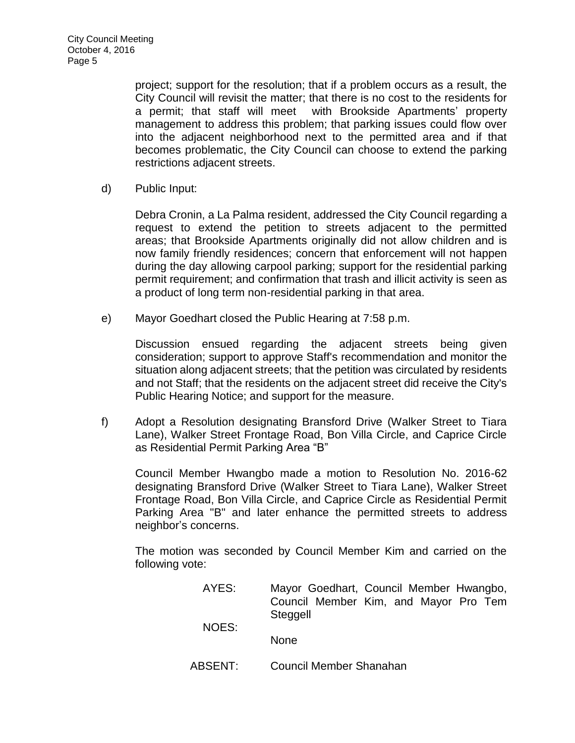project; support for the resolution; that if a problem occurs as a result, the City Council will revisit the matter; that there is no cost to the residents for a permit; that staff will meet with Brookside Apartments' property management to address this problem; that parking issues could flow over into the adjacent neighborhood next to the permitted area and if that becomes problematic, the City Council can choose to extend the parking restrictions adjacent streets.

d) [Public Input:](http://lapalma.granicus.com/MediaPlayer.php?view_id=&clip_id=1036&meta_id=136518)

Debra Cronin, a La Palma resident, addressed the City Council regarding a request to extend the petition to streets adjacent to the permitted areas; that Brookside Apartments originally did not allow children and is now family friendly residences; concern that enforcement will not happen during the day allowing carpool parking; support for the residential parking permit requirement; and confirmation that trash and illicit activity is seen as a product of long term non-residential parking in that area.

e) Mayor Goedhart closed the [Public Hearing at 7:58 p.m.](http://lapalma.granicus.com/MediaPlayer.php?view_id=&clip_id=1036&meta_id=136520)

Discussion ensued regarding the adjacent streets being given consideration; support to approve Staff's recommendation and monitor the situation along adjacent streets; that the petition was circulated by residents and not Staff; that the residents on the adjacent street did receive the City's Public Hearing Notice; and support for the measure.

f) [Adopt a Resolution designating Bransford Drive \(Walker Street to Tiara](http://lapalma.granicus.com/MediaPlayer.php?view_id=&clip_id=1036&meta_id=136522)  [Lane\), Walker Street Frontage Road, Bon Villa Circle, and Caprice Circle](http://lapalma.granicus.com/MediaPlayer.php?view_id=&clip_id=1036&meta_id=136522)  [as Residential Permit Parking Area "B"](http://lapalma.granicus.com/MediaPlayer.php?view_id=&clip_id=1036&meta_id=136522)

Council Member Hwangbo made a motion to Resolution No. 2016-62 designating Bransford Drive (Walker Street to Tiara Lane), Walker Street Frontage Road, Bon Villa Circle, and Caprice Circle as Residential Permit Parking Area "B" and later enhance the permitted streets to address neighbor's concerns.

The motion was seconded by Council Member Kim and carried on the following vote:

- AYES: Mayor Goedhart, Council Member Hwangbo, Council Member Kim, and Mayor Pro Tem Steggell NOES: None
- ABSENT: Council Member Shanahan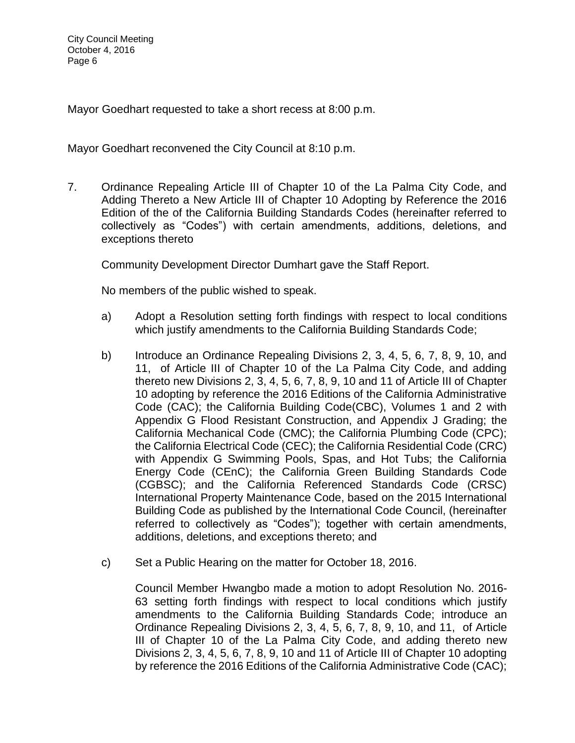Mayor Goedhart requested to take a short recess at 8:00 p.m.

Mayor Goedhart reconvened the City Council at 8:10 p.m.

7. [Ordinance Repealing Article III of Chapter 10 of the La Palma City Code, and](http://lapalma.granicus.com/MediaPlayer.php?view_id=&clip_id=1036&meta_id=136526)  [Adding Thereto a New Article III of Chapter 10 Adopting by Reference the 2016](http://lapalma.granicus.com/MediaPlayer.php?view_id=&clip_id=1036&meta_id=136526)  [Edition of the of the California Building Standards Codes \(hereinafter referred to](http://lapalma.granicus.com/MediaPlayer.php?view_id=&clip_id=1036&meta_id=136526)  [collectively as "Codes"\) with certain amendments, additions, deletions, and](http://lapalma.granicus.com/MediaPlayer.php?view_id=&clip_id=1036&meta_id=136526)  [exceptions thereto](http://lapalma.granicus.com/MediaPlayer.php?view_id=&clip_id=1036&meta_id=136526)

Community Development Director Dumhart gave the Staff Report.

No members of the public wished to speak.

- a) Adopt a Resolution setting forth findings with respect to local conditions which justify amendments to the California Building Standards Code;
- b) Introduce an Ordinance Repealing Divisions 2, 3, 4, 5, 6, 7, 8, 9, 10, and 11, of Article III of Chapter 10 of the La Palma City Code, and adding thereto new Divisions 2, 3, 4, 5, 6, 7, 8, 9, 10 and 11 of Article III of Chapter 10 adopting by reference the 2016 Editions of the California Administrative Code (CAC); the California Building Code(CBC), Volumes 1 and 2 with Appendix G Flood Resistant Construction, and Appendix J Grading; the California Mechanical Code (CMC); the California Plumbing Code (CPC); the California Electrical Code (CEC); the California Residential Code (CRC) with Appendix G Swimming Pools, Spas, and Hot Tubs; the California Energy Code (CEnC); the California Green Building Standards Code (CGBSC); and the California Referenced Standards Code (CRSC) International Property Maintenance Code, based on the 2015 International Building Code as published by the International Code Council, (hereinafter referred to collectively as "Codes"); together with certain amendments, additions, deletions, and exceptions thereto; and
- c) Set a Public Hearing on the matter for October 18, 2016.

Council Member Hwangbo made a motion to adopt Resolution No. 2016- 63 setting forth findings with respect to local conditions which justify amendments to the California Building Standards Code; introduce an Ordinance Repealing Divisions 2, 3, 4, 5, 6, 7, 8, 9, 10, and 11, of Article III of Chapter 10 of the La Palma City Code, and adding thereto new Divisions 2, 3, 4, 5, 6, 7, 8, 9, 10 and 11 of Article III of Chapter 10 adopting by reference the 2016 Editions of the California Administrative Code (CAC);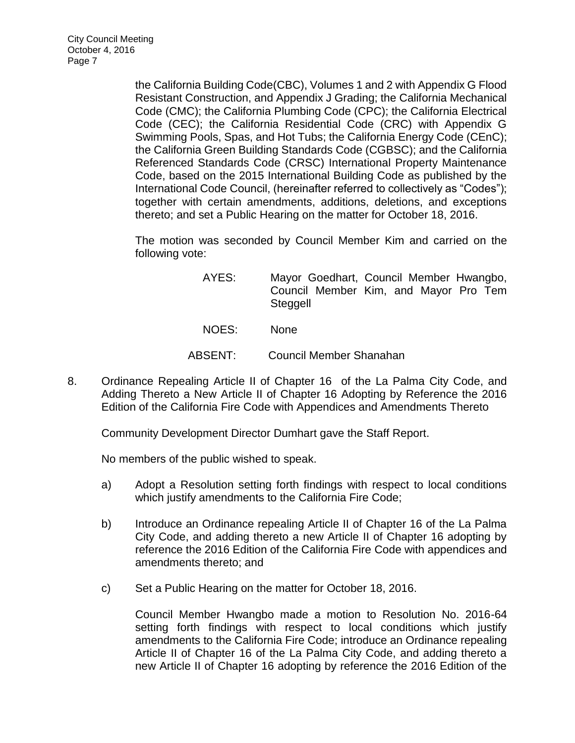the California Building Code(CBC), Volumes 1 and 2 with Appendix G Flood Resistant Construction, and Appendix J Grading; the California Mechanical Code (CMC); the California Plumbing Code (CPC); the California Electrical Code (CEC); the California Residential Code (CRC) with Appendix G Swimming Pools, Spas, and Hot Tubs; the California Energy Code (CEnC); the California Green Building Standards Code (CGBSC); and the California Referenced Standards Code (CRSC) International Property Maintenance Code, based on the 2015 International Building Code as published by the International Code Council, (hereinafter referred to collectively as "Codes"); together with certain amendments, additions, deletions, and exceptions thereto; and set a Public Hearing on the matter for October 18, 2016.

The motion was seconded by Council Member Kim and carried on the following vote:

- AYES: Mayor Goedhart, Council Member Hwangbo, Council Member Kim, and Mayor Pro Tem Steggell
- NOES: None
- ABSENT: Council Member Shanahan
- 8. [Ordinance Repealing Article II of Chapter 16 of the La Palma City Code, and](http://lapalma.granicus.com/MediaPlayer.php?view_id=&clip_id=1036&meta_id=136532)  [Adding Thereto a New Article II of Chapter 16 Adopting by Reference the 2016](http://lapalma.granicus.com/MediaPlayer.php?view_id=&clip_id=1036&meta_id=136532)  Edition [of the California Fire Code with Appendices and Amendments Thereto](http://lapalma.granicus.com/MediaPlayer.php?view_id=&clip_id=1036&meta_id=136532)

Community Development Director Dumhart gave the Staff Report.

No members of the public wished to speak.

- a) Adopt a Resolution setting forth findings with respect to local conditions which justify amendments to the California Fire Code;
- b) Introduce an Ordinance repealing Article II of Chapter 16 of the La Palma City Code, and adding thereto a new Article II of Chapter 16 adopting by reference the 2016 Edition of the California Fire Code with appendices and amendments thereto; and
- c) Set a Public Hearing on the matter for October 18, 2016.

Council Member Hwangbo made a motion to Resolution No. 2016-64 setting forth findings with respect to local conditions which justify amendments to the California Fire Code; introduce an Ordinance repealing Article II of Chapter 16 of the La Palma City Code, and adding thereto a new Article II of Chapter 16 adopting by reference the 2016 Edition of the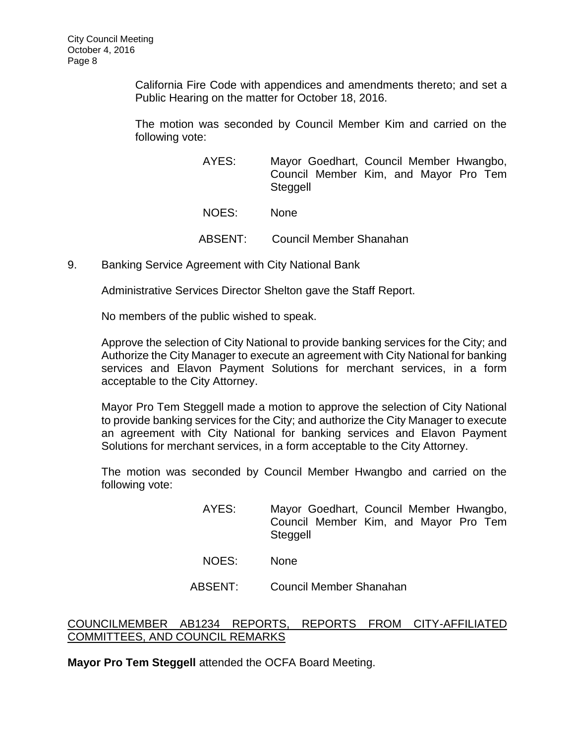California Fire Code with appendices and amendments thereto; and set a Public Hearing on the matter for October 18, 2016.

The motion was seconded by Council Member Kim and carried on the following vote:

- AYES: Mayor Goedhart, Council Member Hwangbo, Council Member Kim, and Mayor Pro Tem **Steggell** NOES: None ABSENT: Council Member Shanahan
- 9. [Banking Service Agreement with City National Bank](http://lapalma.granicus.com/MediaPlayer.php?view_id=&clip_id=1036&meta_id=136539)

Administrative Services Director Shelton gave the Staff Report.

No members of the public wished to speak.

Approve the selection of City National to provide banking services for the City; and Authorize the City Manager to execute an agreement with City National for banking services and Elavon Payment Solutions for merchant services, in a form acceptable to the City Attorney.

Mayor Pro Tem Steggell made a motion to approve the selection of City National to provide banking services for the City; and authorize the City Manager to execute an agreement with City National for banking services and Elavon Payment Solutions for merchant services, in a form acceptable to the City Attorney.

The motion was seconded by Council Member Hwangbo and carried on the following vote:

- AYES: Mayor Goedhart, Council Member Hwangbo, Council Member Kim, and Mayor Pro Tem Steggell
- NOES: None
- ABSENT: Council Member Shanahan

## [COUNCILMEMBER AB1234 REPORTS, REPORTS FROM CITY-AFFILIATED](http://lapalma.granicus.com/MediaPlayer.php?view_id=&clip_id=1036&meta_id=136549)  [COMMITTEES, AND COUNCIL REMARKS](http://lapalma.granicus.com/MediaPlayer.php?view_id=&clip_id=1036&meta_id=136549)

**Mayor Pro Tem Steggell** attended the OCFA Board Meeting.